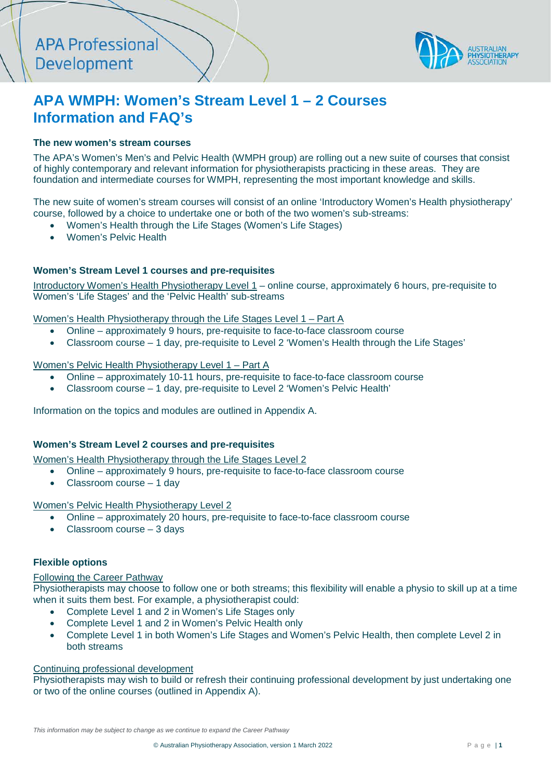

# **APA WMPH: Women's Stream Level 1 – 2 Courses Information and FAQ's**

## **The new women's stream courses**

The APA's Women's Men's and Pelvic Health (WMPH group) are rolling out a new suite of courses that consist of highly contemporary and relevant information for physiotherapists practicing in these areas. They are foundation and intermediate courses for WMPH, representing the most important knowledge and skills.

The new suite of women's stream courses will consist of an online 'Introductory Women's Health physiotherapy' course, followed by a choice to undertake one or both of the two women's sub-streams:

- Women's Health through the Life Stages (Women's Life Stages)
- Women's Pelvic Health

## **Women's Stream Level 1 courses and pre-requisites**

Introductory Women's Health Physiotherapy Level 1 – online course, approximately 6 hours, pre-requisite to Women's 'Life Stages' and the 'Pelvic Health' sub-streams

[Women's Health Physiotherapy through the Life Stages Level 1](https://enrol.apacpdguide.com.au/courses/womens-health-through-the-life-stages-physiotherapy-level-1-part-a) – Part A

- Online approximately 9 hours, pre-requisite to face-to-face classroom course
- Classroom course 1 day, pre-requisite to Level 2 'Women's Health through the Life Stages'

#### [Women's Pelvic Health Physiotherapy Level 1](https://enrol.apacpdguide.com.au/courses/womens-pelvic-health-physiotherapy-level-1-part-a) – Part A

- Online approximately 10-11 hours, pre-requisite to face-to-face classroom course
- Classroom course 1 day, pre-requisite to Level 2 'Women's Pelvic Health'

Information on the topics and modules are outlined in Appendix A.

### **Women's Stream Level 2 courses and pre-requisites**

Women's Health Physiotherapy through the Life Stages Level 2

- Online approximately 9 hours, pre-requisite to face-to-face classroom course
- Classroom course 1 day

#### Women's Pelvic Health Physiotherapy Level 2

- Online approximately 20 hours, pre-requisite to face-to-face classroom course
- Classroom course 3 days

### **Flexible options**

#### Following the Career Pathway

Physiotherapists may choose to follow one or both streams; this flexibility will enable a physio to skill up at a time when it suits them best. For example, a physiotherapist could:

- Complete Level 1 and 2 in Women's Life Stages only
- Complete Level 1 and 2 in Women's Pelvic Health only
- Complete Level 1 in both Women's Life Stages and Women's Pelvic Health, then complete Level 2 in both streams

### Continuing professional development

Physiotherapists may wish to build or refresh their continuing professional development by just undertaking one or two of the online courses (outlined in Appendix A).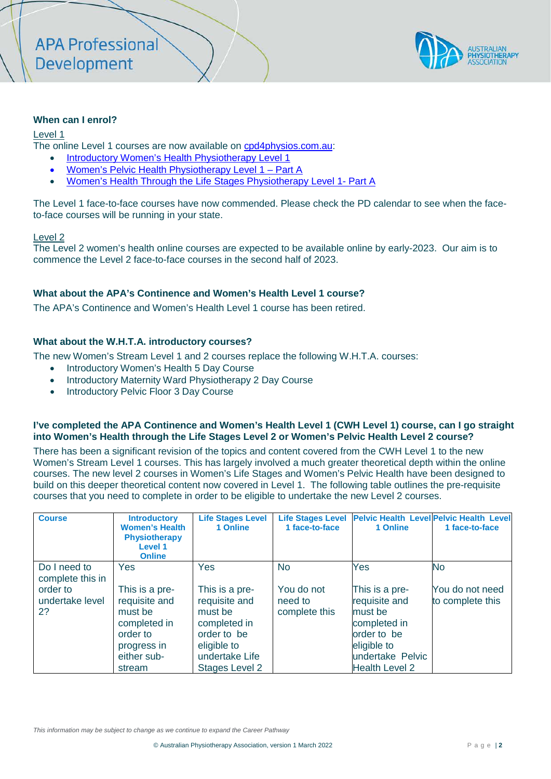

### **When can I enrol?**

#### Level 1

The online Level 1 courses are now available on [cpd4physios.com.au:](http://www.cpd4physios.com.au/)

- [Introductory Women's Health Physiotherapy Level 1](https://enrol.apacpdguide.com.au/courses/introductory-womens-health-physiotherapy-level-1)
- [Women's Pelvic Health](https://enrol.apacpdguide.com.au/courses/womens-pelvic-health-physiotherapy-level-1-part-a) Physiotherapy Level 1 Part A
- [Women's Health Through the Life Stages](https://enrol.apacpdguide.com.au/courses/womens-health-through-the-life-stages-physiotherapy-level-1-part-a) Physiotherapy Level 1- Part A

The Level 1 face-to-face courses have now commended. Please check the PD calendar to see when the faceto-face courses will be running in your state.

#### Level 2

The Level 2 women's health online courses are expected to be available online by early-2023. Our aim is to commence the Level 2 face-to-face courses in the second half of 2023.

#### **What about the APA's Continence and Women's Health Level 1 course?**

The APA's Continence and Women's Health Level 1 course has been retired.

## **What about the W.H.T.A. introductory courses?**

The new Women's Stream Level 1 and 2 courses replace the following W.H.T.A. courses:

- Introductory Women's Health 5 Day Course
- Introductory Maternity Ward Physiotherapy 2 Day Course
- Introductory Pelvic Floor 3 Day Course

#### **I've completed the APA Continence and Women's Health Level 1 (CWH Level 1) course, can I go straight into Women's Health through the Life Stages Level 2 or Women's Pelvic Health Level 2 course?**

There has been a significant revision of the topics and content covered from the CWH Level 1 to the new Women's Stream Level 1 courses. This has largely involved a much greater theoretical depth within the online courses. The new level 2 courses in Women's Life Stages and Women's Pelvic Health have been designed to build on this deeper theoretical content now covered in Level 1. The following table outlines the pre-requisite courses that you need to complete in order to be eligible to undertake the new Level 2 courses.

| <b>Course</b>                                                         | <b>Introductory</b><br><b>Women's Health</b><br><b>Physiotherapy</b><br>Level 1<br><b>Online</b> | <b>Life Stages Level</b><br>1 Online                                                                   | 1 face-to-face                                      | Life Stages Level Pelvic Health Level Pelvic Health Level<br>1 Online                           | 1 face-to-face                                   |
|-----------------------------------------------------------------------|--------------------------------------------------------------------------------------------------|--------------------------------------------------------------------------------------------------------|-----------------------------------------------------|-------------------------------------------------------------------------------------------------|--------------------------------------------------|
| Do I need to<br>complete this in<br>order to<br>undertake level<br>2? | Yes<br>This is a pre-<br>requisite and<br>must be<br>completed in<br>order to<br>progress in     | <b>Yes</b><br>This is a pre-<br>requisite and<br>must be<br>completed in<br>order to be<br>eligible to | <b>No</b><br>You do not<br>need to<br>complete this | Yes<br>This is a pre-<br>requisite and<br>must be<br>completed in<br>order to be<br>eligible to | <b>No</b><br>You do not need<br>to complete this |
|                                                                       | either sub-<br>stream                                                                            | undertake Life<br><b>Stages Level 2</b>                                                                |                                                     | undertake Pelvic<br><b>Health Level 2</b>                                                       |                                                  |

*This information may be subject to change as we continue to expand the Career Pathway*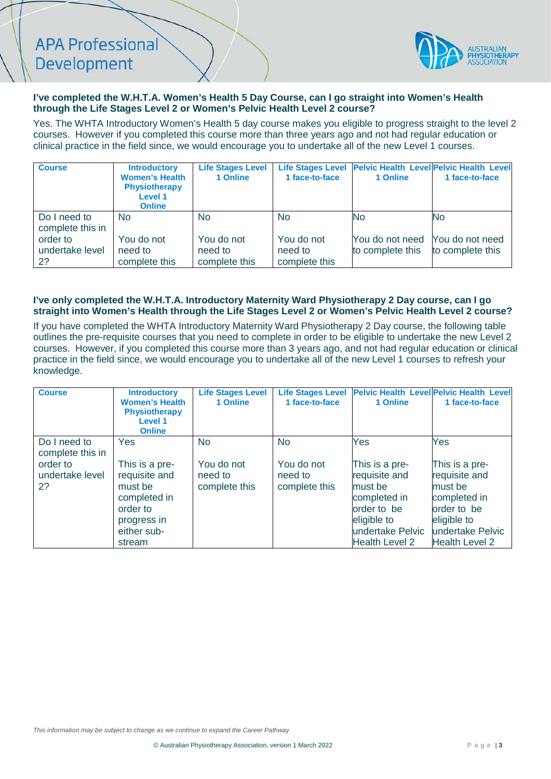# **APA Professional** Development



## **I've completed the W.H.T.A. Women's Health 5 Day Course, can I go straight into Women's Health through the Life Stages Level 2 or Women's Pelvic Health Level 2 course?**

Yes. The WHTA Introductory Women's Health 5 day course makes you eligible to progress straight to the level 2 courses. However if you completed this course more than three years ago and not had regular education or clinical practice in the field since, we would encourage you to undertake all of the new Level 1 courses.

| <b>Course</b>                     | <b>Introductory</b><br><b>Women's Health</b><br><b>Physiotherapy</b><br>Level 1<br><b>Online</b> | <b>Life Stages Level</b><br>1 Online   | 1 face-to-face                         | 1 Online                            | Life Stages Level Pelvic Health Level Pelvic Health Level<br>1 face-to-face |
|-----------------------------------|--------------------------------------------------------------------------------------------------|----------------------------------------|----------------------------------------|-------------------------------------|-----------------------------------------------------------------------------|
| Do I need to<br>complete this in  | No.                                                                                              | <b>No</b>                              | <b>No</b>                              | <b>No</b>                           | No                                                                          |
| order to<br>undertake level<br>2? | You do not<br>need to<br>complete this                                                           | You do not<br>need to<br>complete this | You do not<br>need to<br>complete this | You do not need<br>to complete this | You do not need<br>to complete this                                         |

#### **I've only completed the W.H.T.A. Introductory Maternity Ward Physiotherapy 2 Day course, can I go straight into Women's Health through the Life Stages Level 2 or Women's Pelvic Health Level 2 course?**

If you have completed the WHTA Introductory Maternity Ward Physiotherapy 2 Day course, the following table outlines the pre-requisite courses that you need to complete in order to be eligible to undertake the new Level 2 courses. However, if you completed this course more than 3 years ago, and not had regular education or clinical practice in the field since, we would encourage you to undertake all of the new Level 1 courses to refresh your knowledge.

| <b>Course</b>                                                         | <b>Introductory</b><br><b>Women's Health</b><br><b>Physiotherapy</b><br><b>Level 1</b><br><b>Online</b>                      | <b>Life Stages Level</b><br>1 Online                | <b>Life Stages Level</b><br>1 face-to-face          | 1 Online                                                                                                                                     | <b>Pelvic Health Level Pelvic Health Level</b><br>1 face-to-face                                                                             |
|-----------------------------------------------------------------------|------------------------------------------------------------------------------------------------------------------------------|-----------------------------------------------------|-----------------------------------------------------|----------------------------------------------------------------------------------------------------------------------------------------------|----------------------------------------------------------------------------------------------------------------------------------------------|
| Do I need to<br>complete this in<br>order to<br>undertake level<br>2? | <b>Yes</b><br>This is a pre-<br>requisite and<br>must be<br>completed in<br>order to<br>progress in<br>either sub-<br>stream | <b>No</b><br>You do not<br>need to<br>complete this | <b>No</b><br>You do not<br>need to<br>complete this | Yes<br>This is a pre-<br>requisite and<br>must be<br>completed in<br>order to be<br>eligible to<br>undertake Pelvic<br><b>Health Level 2</b> | Yes<br>This is a pre-<br>requisite and<br>must be<br>completed in<br>order to be<br>eligible to<br>undertake Pelvic<br><b>Health Level 2</b> |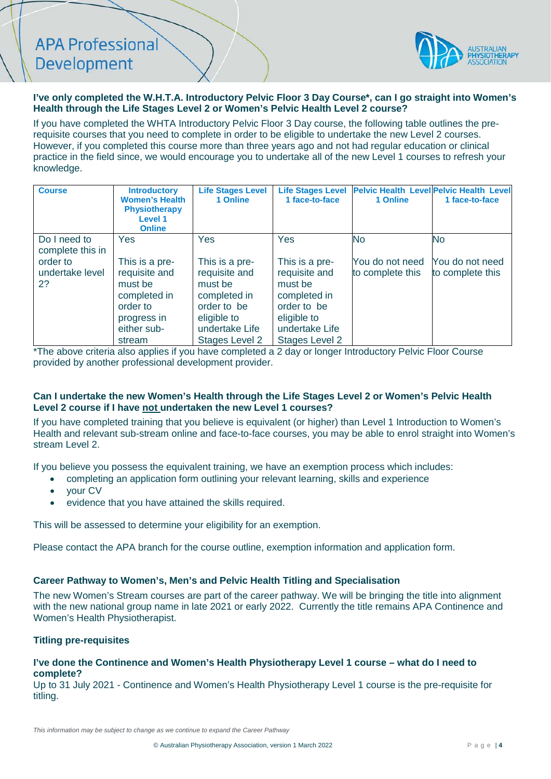**APA Professional** Development



### **I've only completed the W.H.T.A. Introductory Pelvic Floor 3 Day Course\*, can I go straight into Women's Health through the Life Stages Level 2 or Women's Pelvic Health Level 2 course?**

If you have completed the WHTA Introductory Pelvic Floor 3 Day course, the following table outlines the prerequisite courses that you need to complete in order to be eligible to undertake the new Level 2 courses. However, if you completed this course more than three years ago and not had regular education or clinical practice in the field since, we would encourage you to undertake all of the new Level 1 courses to refresh your knowledge.

| <b>Course</b>                     | <b>Introductory</b><br><b>Women's Health</b><br><b>Physiotherapy</b><br><b>Level 1</b><br><b>Online</b>        | <b>Life Stages Level</b><br>1 Online                                                                                         | <b>Life Stages Level</b><br>1 face-to-face                                                                                   | 1 Online                            | <b>Pelvic Health Level Pelvic Health Level</b><br>1 face-to-face |
|-----------------------------------|----------------------------------------------------------------------------------------------------------------|------------------------------------------------------------------------------------------------------------------------------|------------------------------------------------------------------------------------------------------------------------------|-------------------------------------|------------------------------------------------------------------|
| Do I need to<br>complete this in  | Yes                                                                                                            | <b>Yes</b>                                                                                                                   | Yes                                                                                                                          | No                                  | <b>No</b>                                                        |
| order to<br>undertake level<br>2? | This is a pre-<br>requisite and<br>must be<br>completed in<br>order to<br>progress in<br>either sub-<br>stream | This is a pre-<br>requisite and<br>must be<br>completed in<br>order to be<br>eligible to<br>undertake Life<br>Stages Level 2 | This is a pre-<br>requisite and<br>must be<br>completed in<br>order to be<br>eligible to<br>undertake Life<br>Stages Level 2 | You do not need<br>to complete this | You do not need<br>to complete this                              |

\*The above criteria also applies if you have completed a 2 day or longer Introductory Pelvic Floor Course provided by another professional development provider.

#### **Can I undertake the new Women's Health through the Life Stages Level 2 or Women's Pelvic Health Level 2 course if I have not undertaken the new Level 1 courses?**

If you have completed training that you believe is equivalent (or higher) than Level 1 Introduction to Women's Health and relevant sub-stream online and face-to-face courses, you may be able to enrol straight into Women's stream Level 2.

If you believe you possess the equivalent training, we have an exemption process which includes:

- completing an application form outlining your relevant learning, skills and experience
	- your CV
- evidence that you have attained the skills required.

This will be assessed to determine your eligibility for an exemption.

Please contact the APA branch for the course outline, exemption information and application form.

#### **Career Pathway to Women's, Men's and Pelvic Health Titling and Specialisation**

The new Women's Stream courses are part of the career pathway. We will be bringing the title into alignment with the new national group name in late 2021 or early 2022. Currently the title remains APA Continence and Women's Health Physiotherapist.

#### **Titling pre-requisites**

#### **I've done the Continence and Women's Health Physiotherapy Level 1 course – what do I need to complete?**

Up to 31 July 2021 - Continence and Women's Health Physiotherapy Level 1 course is the pre-requisite for titling.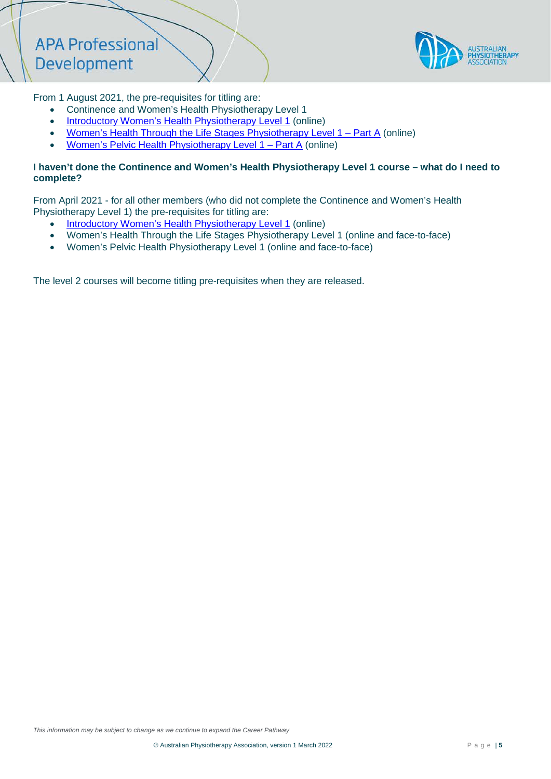

From 1 August 2021, the pre-requisites for titling are:

- Continence and Women's Health Physiotherapy Level 1
- [Introductory Women's Health Physiotherapy Level 1](https://enrol.apacpdguide.com.au/courses/introductory-womens-health-physiotherapy-level-1) (online)
- [Women's Health Through the Life Stages Physiotherapy Level 1](https://enrol.apacpdguide.com.au/courses/womens-health-through-the-life-stages-physiotherapy-level-1-part-a) Part A (online)
- [Women's Pelvic Health Physiotherapy Level 1](https://enrol.apacpdguide.com.au/courses/womens-pelvic-health-physiotherapy-level-1-part-a) Part A (online)

## **I haven't done the Continence and Women's Health Physiotherapy Level 1 course – what do I need to complete?**

From April 2021 - for all other members (who did not complete the Continence and Women's Health Physiotherapy Level 1) the pre-requisites for titling are:

- [Introductory Women's Health Physiotherapy Level 1](https://enrol.apacpdguide.com.au/courses/introductory-womens-health-physiotherapy-level-1) (online)
- Women's Health Through the Life Stages Physiotherapy Level 1 (online and face-to-face)
- Women's Pelvic Health Physiotherapy Level 1 (online and face-to-face)

The level 2 courses will become titling pre-requisites when they are released.